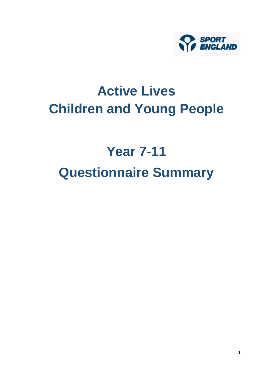

# **Active Lives Children and Young People**

# **Year 7-11 Questionnaire Summary**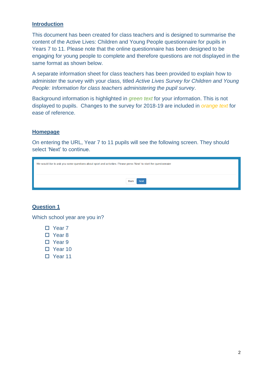#### **Introduction**

This document has been created for class teachers and is designed to summarise the content of the Active Lives: Children and Young People questionnaire for pupils in Years 7 to 11. Please note that the online questionnaire has been designed to be engaging for young people to complete and therefore questions are not displayed in the same format as shown below.

A separate information sheet for class teachers has been provided to explain how to administer the survey with your class, titled *Active Lives Survey for Children and Young People: Information for class teachers administering the pupil survey*.

Background information is highlighted in *green text* for your information. This is not displayed to pupils. Changes to the survey for 2018-19 are included in *orange text* for ease of reference.

# **Homepage**

On entering the URL, Year 7 to 11 pupils will see the following screen. They should select 'Next' to continue.

| We would like to ask you some questions about sport and activities. Please press 'Next' to start the questionnaire |  |  |  |  |  |  |  |
|--------------------------------------------------------------------------------------------------------------------|--|--|--|--|--|--|--|
| <b>Next</b><br><b>Back</b>                                                                                         |  |  |  |  |  |  |  |

# **Question 1**

Which school year are you in?

- Year 7
- □ Year 8
- □ Year 9
- □ Year 10
- D Year 11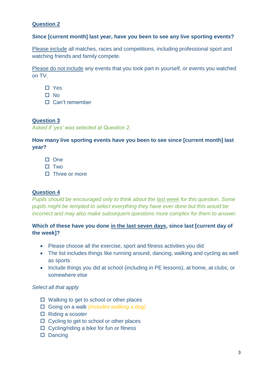# **Since [current month] last year, have you been to see any live sporting events?**

Please include all matches, races and competitions, including professional sport and watching friends and family compete.

Please do not include any events that you took part in yourself, or events you watched on TV.

- □ Yes
- □ No
- □ Can't remember

#### **Question 3**

*Asked if 'yes' was selected at Question 2.*

**How many live sporting events have you been to see since [current month] last year?**

- $\Box$  One
- $\square$  Two
- $\square$  Three or more

#### **Question 4**

*Pupils should be encouraged only to think about the last week for this question. Some pupils might be tempted to select everything they have ever done but this would be incorrect and may also make subsequent questions more complex for them to answer.*

# **Which of these have you done in the last seven days, since last [current day of the week]?**

- Please choose all the exercise, sport and fitness activities you did
- The list includes things like running around, dancing, walking and cycling as well as sports
- Include things you did at school (including in PE lessons), at home, at clubs, or somewhere else

#### *Select all that apply*

- $\Box$  Walking to get to school or other places
- Going on a walk *(includes walking a dog)*
- $\Box$  Riding a scooter
- $\Box$  Cycling to get to school or other places
- $\Box$  Cycling/riding a bike for fun or fitness
- Dancing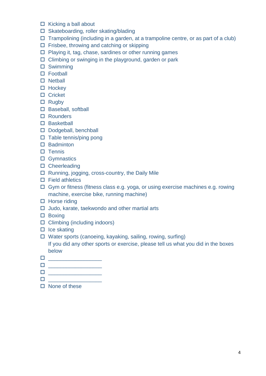- $\Box$  Kicking a ball about
- □ Skateboarding, roller skating/blading
- $\Box$  Trampolining (including in a garden, at a trampoline centre, or as part of a club)
- $\Box$  Frisbee, throwing and catching or skipping
- $\Box$  Playing it, tag, chase, sardines or other running games
- $\Box$  Climbing or swinging in the playground, garden or park
- Swimming
- □ Football
- $\square$  Netball
- $\Box$  Hockey
- □ Cricket
- $\Box$  Rugby
- □ Baseball, softball
- □ Rounders
- □ Basketball
- D Dodgeball, benchball
- $\Box$  Table tennis/ping pong
- □ Badminton
- $\square$  Tennis
- □ Gymnastics
- □ Cheerleading
- □ Running, jogging, cross-country, the Daily Mile
- $\Box$  Field athletics
- Gym or fitness (fitness class e.g. yoga, or using exercise machines e.g. rowing machine, exercise bike, running machine)
- $\Box$  Horse riding
- $\Box$  Judo, karate, taekwondo and other martial arts
- □ Boxing
- $\Box$  Climbing (including indoors)
- $\Box$  Ice skating
- $\Box$  Water sports (canoeing, kayaking, sailing, rowing, surfing)

If you did any other sports or exercise, please tell us what you did in the boxes below

- \_\_\_\_\_\_\_\_\_\_\_\_\_\_\_\_\_\_
- \_\_\_\_\_\_\_\_\_\_\_\_\_\_\_\_\_\_
- $\Box$
- $\Box$
- $\square$  None of these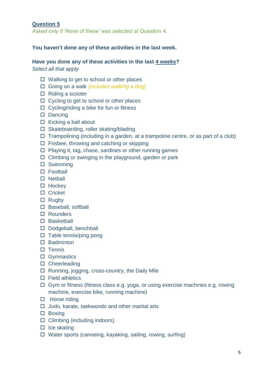*Asked only if 'None of these' was selected at Question 4.*

#### **You haven't done any of these activities in the last week.**

# **Have you done any of these activities in the last 4 weeks?**

*Select all that apply*

- $\Box$  Walking to get to school or other places
- Going on a walk *(includes walking a dog)*
- $\Box$  Riding a scooter
- □ Cycling to get to school or other places
- $\Box$  Cycling/riding a bike for fun or fitness
- $\square$  Dancing
- $\Box$  Kicking a ball about
- □ Skateboarding, roller skating/blading
- $\Box$  Trampolining (including in a garden, at a trampoline centre, or as part of a club)
- $\Box$  Frisbee, throwing and catching or skipping
- $\Box$  Playing it, tag, chase, sardines or other running games
- $\Box$  Climbing or swinging in the playground, garden or park
- □ Swimming
- □ Football
- $\square$  Netball
- $\Box$  Hockey
- □ Cricket
- $\Box$  Rugby
- □ Baseball, softball
- Rounders
- □ Basketball
- Dodgeball, benchball
- $\Box$  Table tennis/ping pong
- $\Box$  Badminton
- $\square$  Tennis
- □ Gymnastics
- □ Cheerleading
- $\Box$  Running, jogging, cross-country, the Daily Mile
- $\square$  Field athletics
- □ Gym or fitness (fitness class e.g. yoga, or using exercise machines e.g. rowing machine, exercise bike, running machine)
- $\Box$  Horse riding
- $\Box$  Judo, karate, taekwondo and other martial arts
- $\Box$  Boxing
- $\Box$  Climbing (including indoors)
- $\Box$  Ice skating
- □ Water sports (canoeing, kayaking, sailing, rowing, surfing)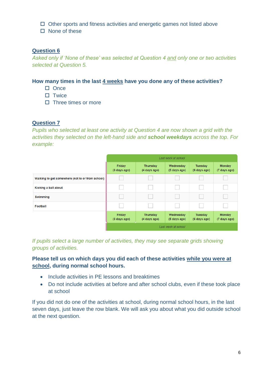- $\Box$  Other sports and fitness activities and energetic games not listed above
- $\Box$  None of these

*Asked only if 'None of these' was selected at Question 4 and only one or two activities selected at Question 5.*

#### **How many times in the last 4 weeks have you done any of these activities?**

- $\square$  Once
- $\square$  Twice
- $\Box$  Three times or more

#### **Question 7**

*Pupils who selected at least one activity at Question 4 are now shown a grid with the activities they selected on the left-hand side and school weekdays across the top. For example:*

|                                                  |                        |                                 | Last week at school       |                                |                               |  |  |  |  |  |
|--------------------------------------------------|------------------------|---------------------------------|---------------------------|--------------------------------|-------------------------------|--|--|--|--|--|
|                                                  | Friday<br>(3 days ago) | <b>Thursday</b><br>(4 days ago) | Wednesday<br>(5 days ago) | <b>Tuesday</b><br>(6 days ago) | Monday<br>(7 days ago)        |  |  |  |  |  |
| Walking to get somewhere (not to or from school) |                        |                                 |                           |                                |                               |  |  |  |  |  |
| Kicking a ball about                             |                        |                                 |                           |                                |                               |  |  |  |  |  |
| <b>Swimming</b>                                  |                        |                                 |                           |                                |                               |  |  |  |  |  |
| Football                                         |                        |                                 |                           |                                |                               |  |  |  |  |  |
|                                                  | Friday<br>(3 days ago) | <b>Thursday</b><br>(4 days ago) | Wednesday<br>(5 days ago) | <b>Tuesday</b><br>(6 days ago) | <b>Monday</b><br>(7 days ago) |  |  |  |  |  |
|                                                  | Last week at school    |                                 |                           |                                |                               |  |  |  |  |  |

*If pupils select a large number of activities, they may see separate grids showing groups of activities.* 

#### **Please tell us on which days you did each of these activities while you were at school, during normal school hours.**

- Include activities in PE lessons and breaktimes
- Do not include activities at before and after school clubs, even if these took place at school

If you did not do one of the activities at school, during normal school hours, in the last seven days, just leave the row blank. We will ask you about what you did outside school at the next question.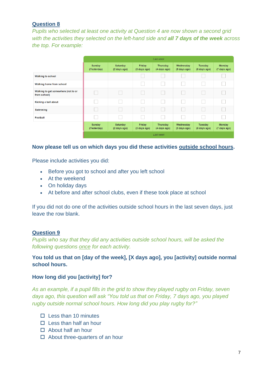*Pupils who selected at least one activity at Question 4 are now shown a second grid with the activities they selected on the left-hand side and all 7 days of the week across the top. For example:*

|                                                     |                              |                                 |                        | Last week                       |                           |                                |                               |  |  |  |
|-----------------------------------------------------|------------------------------|---------------------------------|------------------------|---------------------------------|---------------------------|--------------------------------|-------------------------------|--|--|--|
|                                                     | Sunday<br>(Yesterday)        | Saturday<br>(2 days ago)        | Friday<br>(3 days ago) | <b>Thursday</b><br>(4 days ago) | Wednesday<br>(5 days ago) | Tuesday<br>(6 days ago)        | Monday<br>(7 days ago)        |  |  |  |
| <b>Walking to school</b>                            |                              |                                 |                        |                                 |                           |                                |                               |  |  |  |
| <b>Walking home from school</b>                     |                              |                                 |                        |                                 |                           |                                |                               |  |  |  |
| Walking to get somewhere (not to or<br>from school) |                              |                                 |                        |                                 |                           |                                |                               |  |  |  |
| Kicking a ball about                                |                              |                                 |                        |                                 |                           |                                |                               |  |  |  |
| <b>Swimming</b>                                     |                              |                                 |                        |                                 |                           |                                |                               |  |  |  |
| <b>Football</b>                                     |                              |                                 |                        |                                 |                           |                                |                               |  |  |  |
|                                                     | <b>Sunday</b><br>(Yesterday) | <b>Saturday</b><br>(2 days ago) | Friday<br>(3 days ago) | <b>Thursday</b><br>(4 days ago) | Wednesday<br>(5 days ago) | <b>Tuesday</b><br>(6 days ago) | <b>Monday</b><br>(7 days ago) |  |  |  |
|                                                     | Last week                    |                                 |                        |                                 |                           |                                |                               |  |  |  |

#### **Now please tell us on which days you did these activities outside school hours.**

Please include activities you did:

- Before you got to school and after you left school
- At the weekend
- On holiday days
- At before and after school clubs, even if these took place at school

If you did not do one of the activities outside school hours in the last seven days, just leave the row blank.

# **Question 9**

*Pupils who say that they did any activities outside school hours, will be asked the following questions once for each activity.* 

# **You told us that on [day of the week], [X days ago], you [activity] outside normal school hours.**

#### **How long did you [activity] for?**

*As an example, if a pupil fills in the grid to show they played rugby on Friday, seven days ago, this question will ask "You told us that on Friday, 7 days ago, you played rugby outside normal school hours. How long did you play rugby for?"*

- $\Pi$  Less than 10 minutes
- $\Box$  Less than half an hour
- □ About half an hour
- $\Box$  About three-quarters of an hour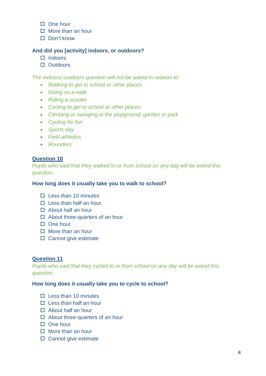- $\square$  One hour
- $\Box$  More than an hour
- $\Box$  Don't know

# **And did you [activity] indoors, or outdoors?**

- $\Pi$  Indoors
- D Outdoors

*The indoors/ outdoors question will not be asked in relation to:*

- *Walking to get to school or other places*
- *Going on a walk*
- *Riding a scooter*
- *Cycling to get to school or other places*
- *Climbing or swinging in the playground, garden or park*
- *Cycling for fun*
- *Sports day*
- *Field athletics*
- *Rounders*

# **Question 10**

*Pupils who said that they walked to or from school on any day will be asked this question.* 

#### **How long does it usually take you to walk to school?**

- $\Box$  Less than 10 minutes
- $\Box$  Less than half an hour
- □ About half an hour
- $\Box$  About three-quarters of an hour
- $\Box$  One hour
- $\Box$  More than an hour
- $\square$  Cannot give estimate

#### **Question 11**

*Pupils who said that they cycled to or from school on any day will be asked this question.* 

#### **How long does it usually take you to cycle to school?**

- $\Pi$  Less than 10 minutes
- $\Box$  Less than half an hour
- $\Box$  About half an hour
- $\Box$  About three-quarters of an hour
- $\Box$  One hour
- $\Box$  More than an hour
- $\square$  Cannot give estimate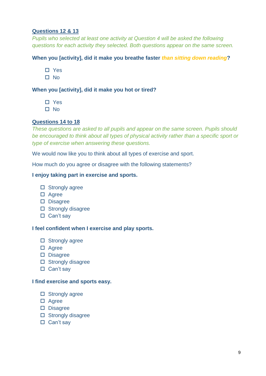# **Questions 12 & 13**

*Pupils who selected at least one activity at Question 4 will be asked the following questions for each activity they selected. Both questions appear on the same screen.* 

# **When you [activity], did it make you breathe faster** *than sitting down reading***?**

- Yes
- $\square$  No

# **When you [activity], did it make you hot or tired?**

- □ Yes
- $\Pi$  No

# **Questions 14 to 18**

*These questions are asked to all pupils and appear on the same screen. Pupils should be encouraged to think about all types of physical activity rather than a specific sport or type of exercise when answering these questions.* 

We would now like you to think about all types of exercise and sport.

How much do you agree or disagree with the following statements?

#### **I enjoy taking part in exercise and sports.**

- $\square$  Strongly agree
- Agree
- Disagree
- $\square$  Strongly disagree
- $\square$  Can't say

#### **I feel confident when I exercise and play sports.**

- $\square$  Strongly agree
- □ Agree
- D Disagree
- $\square$  Strongly disagree
- $\square$  Can't say

#### **I find exercise and sports easy.**

- $\square$  Strongly agree
- □ Agree
- Disagree
- $\square$  Strongly disagree
- $\square$  Can't sav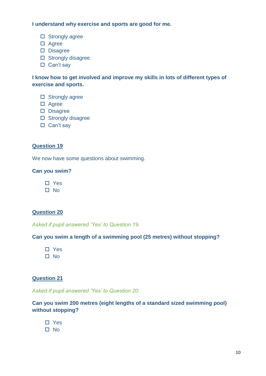**I understand why exercise and sports are good for me.**

- $\square$  Strongly agree
- □ Agree
- D Disagree
- $\Box$  Strongly disagree
- $\Box$  Can't say

**I know how to get involved and improve my skills in lots of different types of exercise and sports.**

- $\square$  Strongly agree
- □ Agree
- D Disagree
- $\square$  Strongly disagree
- $\Box$  Can't say

#### **Question 19**

We now have some questions about swimming.

#### **Can you swim?**

□ Yes

□ No

# **Question 20**

*Asked if pupil answered 'Yes' to Question 19.*

#### **Can you swim a length of a swimming pool (25 metres) without stopping?**

□ Yes □ No

#### **Question 21**

*Asked if pupil answered 'Yes' to Question 20.*

# **Can you swim 200 metres (eight lengths of a standard sized swimming pool) without stopping?**

- □ Yes
- $\square$  No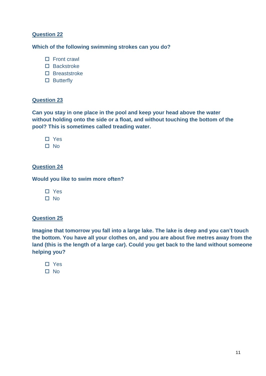# **Which of the following swimming strokes can you do?**

- $\Box$  Front crawl
- □ Backstroke
- $\square$  Breaststroke
- □ Butterfly

#### **Question 23**

**Can you stay in one place in the pool and keep your head above the water without holding onto the side or a float, and without touching the bottom of the pool? This is sometimes called treading water.**

□ Yes

 $\Pi$  No

# **Question 24**

**Would you like to swim more often?**

□ Yes  $\square$  No

# **Question 25**

**Imagine that tomorrow you fall into a large lake. The lake is deep and you can't touch the bottom. You have all your clothes on, and you are about five metres away from the land (this is the length of a large car). Could you get back to the land without someone helping you?**

□ Yes  $\Pi$  No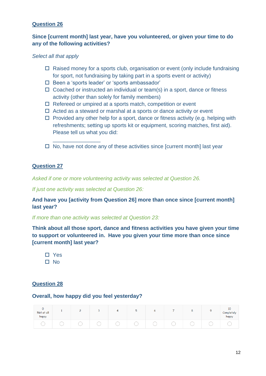# **Since [current month] last year, have you volunteered, or given your time to do any of the following activities?**

#### *Select all that apply*

- $\Box$  Raised money for a sports club, organisation or event (only include fundraising for sport, not fundraising by taking part in a sports event or activity)
- □ Been a 'sports leader' or 'sports ambassador'
- $\Box$  Coached or instructed an individual or team(s) in a sport, dance or fitness activity (other than solely for family members)
- $\Box$  Refereed or umpired at a sports match, competition or event
- $\Box$  Acted as a steward or marshal at a sports or dance activity or event
- $\Box$  Provided any other help for a sport, dance or fitness activity (e.g. helping with refreshments; setting up sports kit or equipment, scoring matches, first aid). Please tell us what you did:
- $\Box$  No, have not done any of these activities since [current month] last year

#### **Question 27**

*Asked if one or more volunteering activity was selected at Question 26.* 

*If just one activity was selected at Question 26:*

\_\_\_\_\_\_\_\_\_\_\_\_\_\_\_\_

**And have you [activity from Question 26] more than once since [current month] last year?**

*If more than one activity was selected at Question 23:*

**Think about all those sport, dance and fitness activities you have given your time to support or volunteered in. Have you given your time more than once since [current month] last year?**

□ Yes  $\Pi$  No

# **Question 28**

#### **Overall, how happy did you feel yesterday?**

| Not at all<br>happy |  |  | -<br>$\sim$<br>÷ | o | $\sim$ |  | 10<br>Completely<br>happy |
|---------------------|--|--|------------------|---|--------|--|---------------------------|
|                     |  |  |                  |   |        |  |                           |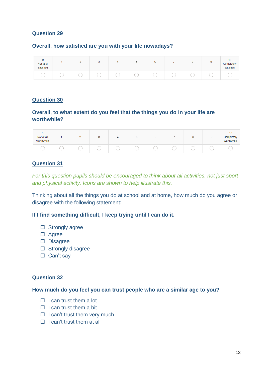### **Overall, how satisfied are you with your life nowadays?**

| 0<br>Not at all<br>satisfied | - | v |  | v |  | ۰ | 10<br>Completely<br>satisfied |
|------------------------------|---|---|--|---|--|---|-------------------------------|
|                              |   |   |  |   |  |   |                               |

#### **Question 30**

# **Overall, to what extent do you feel that the things you do in your life are worthwhile?**

| $\mathbf{0}$<br>Not at all<br>worthwhile |  | v | ັ | ь | 8 | ٠ | 10<br>Completely<br>worthwhile |
|------------------------------------------|--|---|---|---|---|---|--------------------------------|
|                                          |  |   |   |   |   |   |                                |

# **Question 31**

*For this question pupils should be encouraged to think about all activities, not just sport and physical activity. Icons are shown to help illustrate this.*

Thinking about all the things you do at school and at home, how much do you agree or disagree with the following statement:

#### **If I find something difficult, I keep trying until I can do it.**

- $\square$  Strongly agree
- □ Agree
- Disagree
- $\square$  Strongly disagree
- $\square$  Can't say

#### **Question 32**

#### **How much do you feel you can trust people who are a similar age to you?**

- $\Box$  I can trust them a lot
- $\Box$  I can trust them a bit
- $\Box$  I can't trust them very much
- $\Box$  I can't trust them at all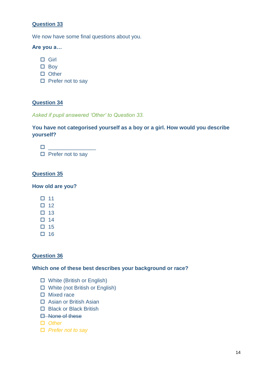We now have some final questions about you.

#### **Are you a…**

- □ Girl
- $\square$  Boy
- $\Box$  Other
- $\square$  Prefer not to say

# **Question 34**

*Asked if pupil answered 'Other' to Question 33.*

# **You have not categorised yourself as a boy or a girl. How would you describe yourself?**

 $\Box$ 

 $\square$  Prefer not to say

### **Question 35**

**How old are you?**

- $\square$  11
- $\Box$  12
- $\Box$  13
- $\Box$  14
- $\Box$  15
- $\square$  16

# **Question 36**

#### **Which one of these best describes your background or race?**

- White (British or English)
- White (not British or English)
- $\Box$  Mixed race
- □ Asian or British Asian
- □ Black or Black British
- **E**-None of these
- *Other*
- *Prefer not to say*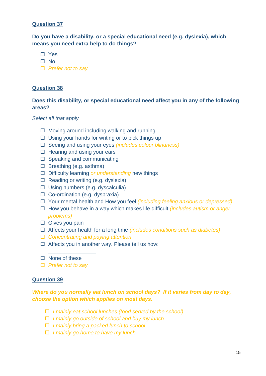**Do you have a disability, or a special educational need (e.g. dyslexia), which means you need extra help to do things?**

- □ Yes
- $\square$  No
- *Prefer not to say*

#### **Question 38**

# **Does this disability, or special educational need affect you in any of the following areas?**

#### *Select all that apply*

- $\Box$  Moving around including walking and running
- $\Box$  Using your hands for writing or to pick things up
- Seeing and using your eyes *(includes colour blindness)*
- $\Box$  Hearing and using your ears
- $\square$  Speaking and communicating
- $\Box$  Breathing (e.g. asthma)
- Difficulty learning *or understanding* new things
- $\Box$  Reading or writing (e.g. dyslexia)
- $\square$  Using numbers (e.g. dyscalculia)
- $\Box$  Co-ordination (e.g. dyspraxia)
- Your mental health and How you feel *(including feeling anxious or depressed)*
- How you behave in a way which makes life difficult *(includes autism or anger problems)*
- □ Gives you pain
- Affects your health for a long time *(includes conditions such as diabetes)*
- *Concentrating and paying attention*
- $\Box$  Affects you in another way. Please tell us how:
- $\square$  None of these
- *Prefer not to say*

\_\_\_\_\_\_\_\_\_\_\_\_\_\_\_\_

#### **Question 39**

# *Where do you normally eat lunch on school days? If it varies from day to day, choose the option which applies on most days.*

- *I mainly eat school lunches (food served by the school)*
- *I mainly go outside of school and buy my lunch*
- *I mainly bring a packed lunch to school*
- *I mainly go home to have my lunch*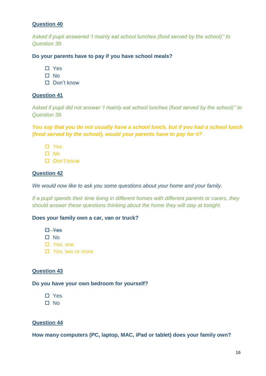*Asked if pupil answered 'I mainly eat school lunches (food served by the school)'' to Question 39.*

#### **Do your parents have to pay if you have school meals?**

- □ Yes
- $\Pi$  No
- Don't know

#### **Question 41**

*Asked if pupil did not answer 'I mainly eat school lunches (food served by the school)'' to Question 39.*

*You say that you do not usually have a school lunch, but if you had a school lunch (food served by the school), would your parents have to pay for it?*

- *Yes*
- *No*
- *Don't know*

# **Question 42**

*We would now like to ask you some questions about your home and your family.*

*If a pupil spends their time living in different homes with different parents or carers, they should answer these questions thinking about the home they will stay at tonight.* 

#### **Does your family own a car, van or truck?**

- **E** Yes
- $\square$  No
- *Yes, one*
- *Yes, two or more*

#### **Question 43**

#### **Do you have your own bedroom for yourself?**

- □ Yes
- □ No

# **Question 44**

**How many computers (PC, laptop, MAC, iPad or tablet) does your family own?**